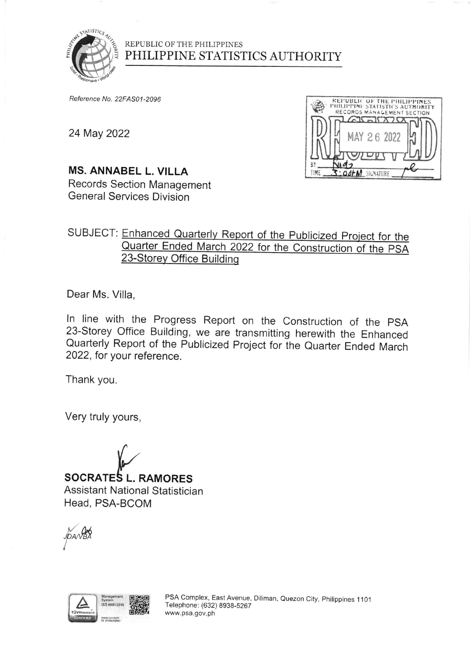

### REPUBLIC OF THE PHILIPPINES PHILIPPINE STATISTICS AUTHORITY

Reference No. 22FAS01-2096

24 May 2022



# **MS. ANNABEL L. VILLA**

Records Section Management **General Services Division** 

## SUBJECT: Enhanced Quarterly Report of the Publicized Project for the Quarter Ended March 2022 for the Construction of the PSA 23-Storey Office Building

Dear Ms. Villa,

In line with the Progress Report on the Construction of the PSA 23-Storey Office Building, we are transmitting herewith the Enhanced Quarterly Report of the Publicized Project for the Quarter Ended March 2022, for your reference.

Thank you.

Very truly yours,

**SOCRATES L. RAMORES** Assistant National Statistician Head, PSA-BCOM





PSA Complex, East Avenue, Diliman, Quezon City, Philippines 1101 Telephone: (632) 8938-5267 www.psa.gov.ph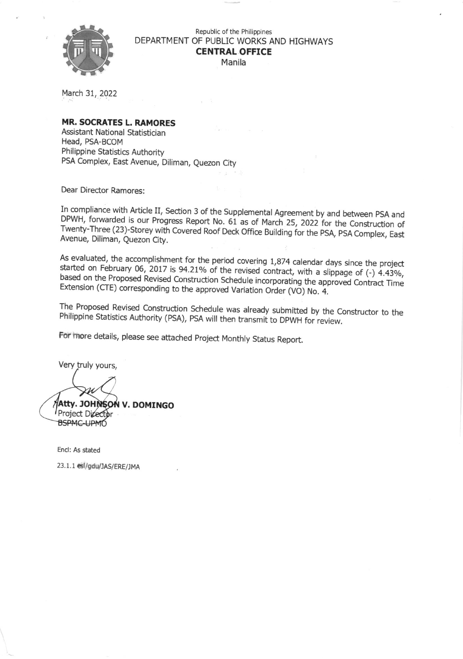

Republic of the Philippines DEPARTMENT OF PUBLIC WORKS AND HIGHWAYS **CENTRAL OFFICE** Manila

March 31, 2022

#### **MR. SOCRATES L. RAMORES**

Assistant National Statistician Head, PSA-BCOM Philippine Statistics Authority PSA Complex, East Avenue, Diliman, Quezon City

Dear Director Ramores:

In compliance with Article II, Section 3 of the Supplemental Agreement by and between PSA and DPWH, forwarded is our Progress Report No. 61 as of March 25, 2022 for the Construction of Twenty-Three (23)-Storey with Covered Roof Deck Office Building for the PSA, PSA Complex, East Avenue, Diliman, Quezon City.

As evaluated, the accomplishment for the period covering 1,874 calendar days since the project started on February 06, 2017 is 94.21% of the revised contract, with a slippage of (-) 4.43%, based on the Proposed Revised Construction Schedule incorporating the approved Contract Time Extension (CTE) corresponding to the approved Variation Order (VO) No. 4.

The Proposed Revised Construction Schedule was already submitted by the Constructor to the Philippine Statistics Authority (PSA), PSA will then transmit to DPWH for review.

For more details, please see attached Project Monthly Status Report.

Very truly yours,

ALTY. JOHNSON V. DOMINGO Project Director **BSPMC-UPMO** 

Encl: As stated

23.1.1 esl/gdu/JAS/ERE/JMA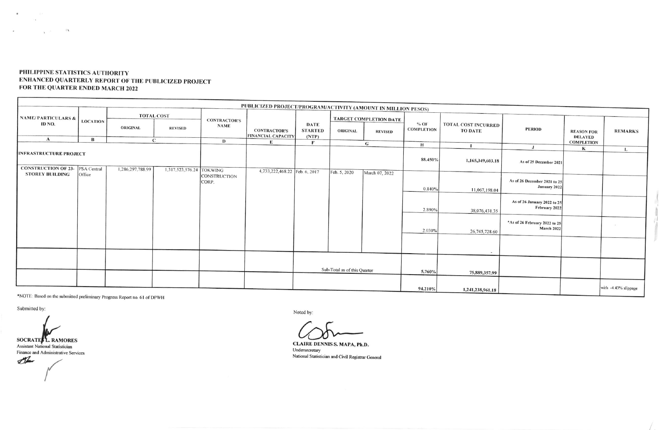#### PHILIPPINE STATISTICS AUTHORITY ENHANCED QUARTERLY REPORT OF THE PUBLICIZED PROJECT FOR THE QUARTER ENDED MARCH 2022

|                                         |                 |                   |                          |                                    | PUBLICIZED PROJECT/PROGRAM/ACTIVITY (AMOUNT IN MILLION PESOS) |                                        |                        |                |                             |                                       |                                                    |                                     |                      |
|-----------------------------------------|-----------------|-------------------|--------------------------|------------------------------------|---------------------------------------------------------------|----------------------------------------|------------------------|----------------|-----------------------------|---------------------------------------|----------------------------------------------------|-------------------------------------|----------------------|
| <b>NAME/PARTICULARS &amp;</b><br>ID NO. | <b>LOCATION</b> | <b>TOTAL COST</b> |                          |                                    |                                                               |                                        | TARGET COMPLETION DATE |                |                             |                                       |                                                    |                                     |                      |
|                                         |                 | <b>ORIGINAL</b>   | <b>REVISED</b>           | <b>CONTRACTOR'S</b><br><b>NAME</b> | <b>CONTRACTOR'S</b><br><b>FINANCIAL CAPACITY</b>              | <b>DATE</b><br><b>STARTED</b><br>(NTP) | <b>ORIGINAL</b>        | <b>REVISED</b> | $%$ OF<br><b>COMPLETION</b> | TOTAL COST INCURRED<br><b>TO DATE</b> | <b>PERIOD</b>                                      | <b>REASON FOR</b><br><b>DELAYED</b> | <b>REMARKS</b>       |
| $\mathbf{A}$                            | В               | C                 |                          | D                                  | E                                                             | $\mathbf{F}$                           |                        | G              | H                           |                                       |                                                    | <b>COMPLETION</b>                   |                      |
| <b>INFRASTRUCTURE PROJECT</b>           |                 |                   |                          |                                    |                                                               |                                        |                        |                | 88.450%                     | $\blacksquare$<br>1,165,349,603.18    | $\mathbf{J}$<br>As of 25 December 2021             | К                                   | $\mathbf{L}$         |
| <b>CONSTRUCTION OF 23-</b>              | PSA Central     | 1,286,297,788.99  | 1,317,523,576.24 TOKWING |                                    | 4,733,222,468.22 Feb. 6, 2017                                 |                                        |                        |                |                             |                                       |                                                    |                                     |                      |
| <b>STOREY BUILDING</b>                  | Office          |                   |                          | <b>CONSTRUCTION</b><br>CORP.       |                                                               |                                        | Feb. 5, 2020           | March 07, 2022 | 0.840%                      | 11,067,198.04                         | As of 26 December 2021 to 25<br>January 2022       |                                     |                      |
|                                         |                 |                   |                          |                                    |                                                               |                                        |                        |                | 2.890%                      | 38,076,431.35                         | As of 26 January 2022 to 25<br>February 2022       |                                     |                      |
|                                         |                 |                   |                          |                                    |                                                               |                                        |                        |                | 2.030%                      | 26,745,728.60                         | *As of 26 February 2022 to 25<br><b>March 2022</b> |                                     |                      |
|                                         |                 |                   |                          |                                    |                                                               |                                        |                        |                |                             | $\overline{\phantom{a}}$              |                                                    |                                     |                      |
|                                         |                 |                   |                          | Sub-Total as of this Quarter       |                                                               |                                        |                        | 5.760%         | 75,889,357.99               |                                       |                                                    |                                     |                      |
|                                         |                 |                   |                          |                                    |                                                               |                                        |                        |                | 94.210%                     | 1,241,238,961.18                      |                                                    |                                     | with -4.43% slippage |

\*NOTE: Based on the submitted preliminary Progress Report no. 61 of DPWH

Submitted by:

 $\sim 10^{-1}$ 

г

 $\sim 1$  $\label{eq:3.1} \begin{array}{cccccccccc} \mathbf{z} & \mathbf{z} & \mathbf{z} & \mathbf{z} & \mathbf{z} & \mathbf{z} & \mathbf{z} \\ \mathbf{z} & \mathbf{z} & \mathbf{z} & \mathbf{z} & \mathbf{z} & \mathbf{z} & \mathbf{z} \\ \mathbf{z} & \mathbf{z} & \mathbf{z} & \mathbf{z} & \mathbf{z} & \mathbf{z} & \mathbf{z} & \mathbf{z} \\ \mathbf{z} & \mathbf{z} & \mathbf{z} & \mathbf{z} & \mathbf{z} & \mathbf{z} & \mathbf{z}$ 

SOCRATE: L. RAMORES

**Assistant National Statistician** Finance and Administrative Services

The

Noted by:

CLAIRE DENNIS S. MAPA, Ph.D. Undersecretary National Statistician and Civil Registrar General